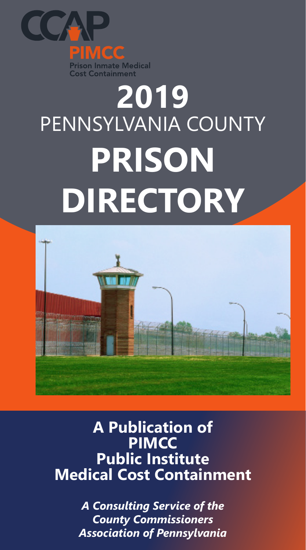

# **2019** PENNSYLVANIA COUNTY **PRISON DIRECTORY**



# **A Publication of PIMCC Public Institute Medical Cost Containment**

*A Consulting Service of the County Commissioners Association of Pennsylvania*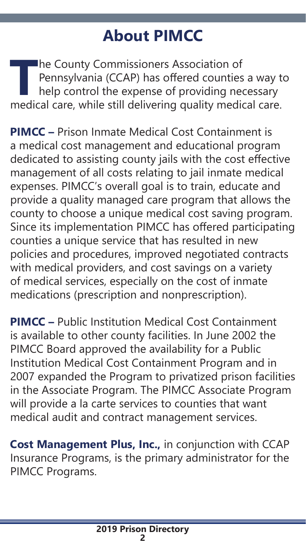# **About PIMCC**

**The County Commissioners Association of**<br> **Pennsylvania (CCAP) has offered counties a way thelp control the expense of providing necessary<br>
medical care, while still delivering quality medical care.** Pennsylvania (CCAP) has offered counties a way to help control the expense of providing necessary

**PIMCC –** Prison Inmate Medical Cost Containment is a medical cost management and educational program dedicated to assisting county jails with the cost effective management of all costs relating to jail inmate medical expenses. PIMCC's overall goal is to train, educate and provide a quality managed care program that allows the county to choose a unique medical cost saving program. Since its implementation PIMCC has offered participating counties a unique service that has resulted in new policies and procedures, improved negotiated contracts with medical providers, and cost savings on a variety of medical services, especially on the cost of inmate medications (prescription and nonprescription).

**PIMCC –** Public Institution Medical Cost Containment is available to other county facilities. In June 2002 the PIMCC Board approved the availability for a Public Institution Medical Cost Containment Program and in 2007 expanded the Program to privatized prison facilities in the Associate Program. The PIMCC Associate Program will provide a la carte services to counties that want medical audit and contract management services.

**Cost Management Plus, Inc.,** in conjunction with CCAP Insurance Programs, is the primary administrator for the PIMCC Programs.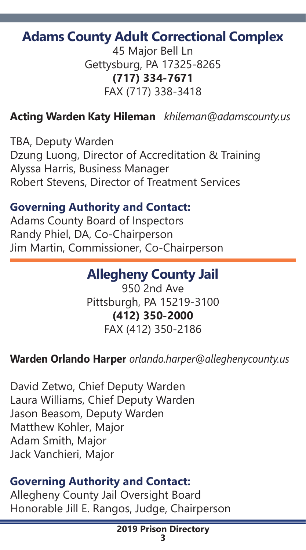# **Adams County Adult Correctional Complex**

45 Major Bell Ln Gettysburg, PA 17325-8265 **(717) 334-7671** FAX (717) 338-3418

# **Acting Warden Katy Hileman** *khileman@adamscounty.us*

TBA, Deputy Warden Dzung Luong, Director of Accreditation & Training Alyssa Harris, Business Manager Robert Stevens, Director of Treatment Services

#### **Governing Authority and Contact:**

Adams County Board of Inspectors Randy Phiel, DA, Co-Chairperson Jim Martin, Commissioner, Co-Chairperson

# **Allegheny County Jail**

950 2nd Ave Pittsburgh, PA 15219-3100 **(412) 350-2000** FAX (412) 350-2186

#### **Warden Orlando Harper** *orlando.harper@alleghenycounty.us*

David Zetwo, Chief Deputy Warden Laura Williams, Chief Deputy Warden Jason Beasom, Deputy Warden Matthew Kohler, Major Adam Smith, Major Jack Vanchieri, Major

#### **Governing Authority and Contact:**

Allegheny County Jail Oversight Board Honorable Jill E. Rangos, Judge, Chairperson

#### **2019 Prison Directory 3**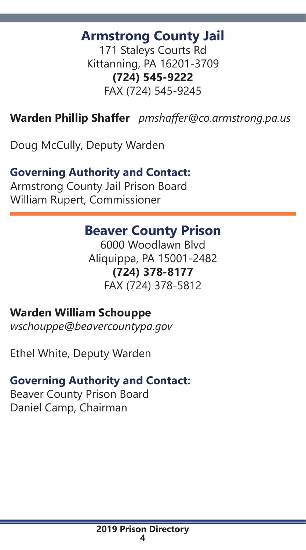# **Armstrong County Jail**

171 Staleys Courts Rd Kittanning, PA 16201-3709 **(724) 545-9222** FAX (724) 545-9245

**Warden Phillip Shaffer** *pmshaffer@co.armstrong.pa.us*

Doug McCully, Deputy Warden

# **Governing Authority and Contact:**

Armstrong County Jail Prison Board William Rupert, Commissioner

# **Beaver County Prison**

6000 Woodlawn Blvd Aliquippa, PA 15001-2482 **(724) 378-8177** FAX (724) 378-5812

## **Warden William Schouppe**

*wschouppe@beavercountypa.gov*

Ethel White, Deputy Warden

## **Governing Authority and Contact:**

Beaver County Prison Board Daniel Camp, Chairman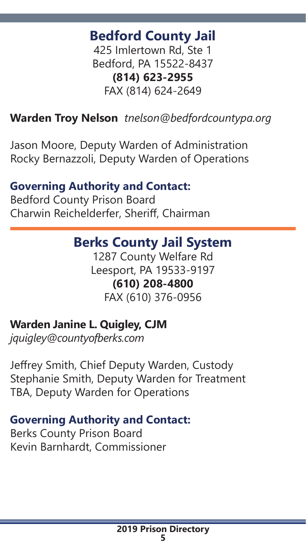# **Bedford County Jail**

425 Imlertown Rd, Ste 1 Bedford, PA 15522-8437 **(814) 623-2955** FAX (814) 624-2649

## **Warden Troy Nelson** *tnelson@bedfordcountypa.org*

Jason Moore, Deputy Warden of Administration Rocky Bernazzoli, Deputy Warden of Operations

#### **Governing Authority and Contact:**

Bedford County Prison Board Charwin Reichelderfer, Sheriff, Chairman

# **Berks County Jail System**

1287 County Welfare Rd Leesport, PA 19533-9197 **(610) 208-4800** FAX (610) 376-0956

#### **Warden Janine L. Quigley, CJM**

*jquigley@countyofberks.com*

Jeffrey Smith, Chief Deputy Warden, Custody Stephanie Smith, Deputy Warden for Treatment TBA, Deputy Warden for Operations

#### **Governing Authority and Contact:**

Berks County Prison Board Kevin Barnhardt, Commissioner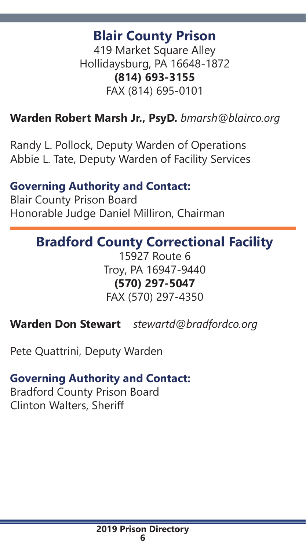# **Blair County Prison**

419 Market Square Alley Hollidaysburg, PA 16648-1872 **(814) 693-3155** FAX (814) 695-0101

#### **Warden Robert Marsh Jr., PsyD.** *bmarsh@blairco.org*

Randy L. Pollock, Deputy Warden of Operations Abbie L. Tate, Deputy Warden of Facility Services

#### **Governing Authority and Contact:**

Blair County Prison Board Honorable Judge Daniel Milliron, Chairman

# **Bradford County Correctional Facility**

15927 Route 6 Troy, PA 16947-9440 **(570) 297-5047** FAX (570) 297-4350

**Warden Don Stewart** *stewartd@bradfordco.org*

Pete Quattrini, Deputy Warden

#### **Governing Authority and Contact:**

Bradford County Prison Board Clinton Walters, Sheriff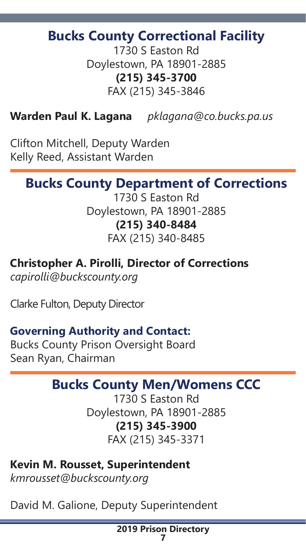# **Bucks County Correctional Facility**

1730 S Easton Rd Doylestown, PA 18901-2885 **(215) 345-3700** FAX (215) 345-3846

**Warden Paul K. Lagana** *pklagana@co.bucks.pa.us*

Clifton Mitchell, Deputy Warden Kelly Reed, Assistant Warden

# **Bucks County Department of Corrections**

1730 S Easton Rd Doylestown, PA 18901-2885 **(215) 340-8484** FAX (215) 340-8485

#### **Christopher A. Pirolli, Director of Corrections**

*capirolli@buckscounty.org*

Clarke Fulton, Deputy Director

#### **Governing Authority and Contact:**

Bucks County Prison Oversight Board Sean Ryan, Chairman

# **Bucks County Men/Womens CCC**

1730 S Easton Rd Doylestown, PA 18901-2885 **(215) 345-3900** FAX (215) 345-3371

**Kevin M. Rousset, Superintendent** *kmrousset@buckscounty.org*

David M. Galione, Deputy Superintendent

**2019 Prison Directory 7**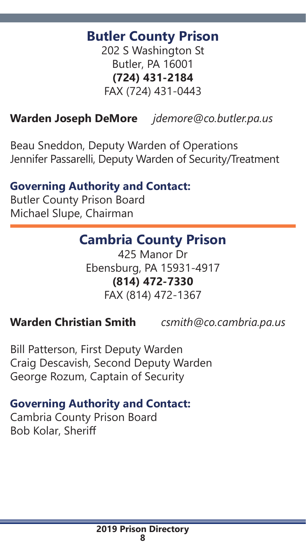# **Butler County Prison**

202 S Washington St Butler, PA 16001 **(724) 431-2184** FAX (724) 431-0443

# **Warden Joseph DeMore** *jdemore@co.butler.pa.us*

Beau Sneddon, Deputy Warden of Operations Jennifer Passarelli, Deputy Warden of Security/Treatment

#### **Governing Authority and Contact:**

Butler County Prison Board Michael Slupe, Chairman

# **Cambria County Prison**

425 Manor Dr Ebensburg, PA 15931-4917 **(814) 472-7330** FAX (814) 472-1367

#### **Warden Christian Smith** *csmith@co.cambria.pa.us*

Bill Patterson, First Deputy Warden Craig Descavish, Second Deputy Warden George Rozum, Captain of Security

#### **Governing Authority and Contact:**

Cambria County Prison Board Bob Kolar, Sheriff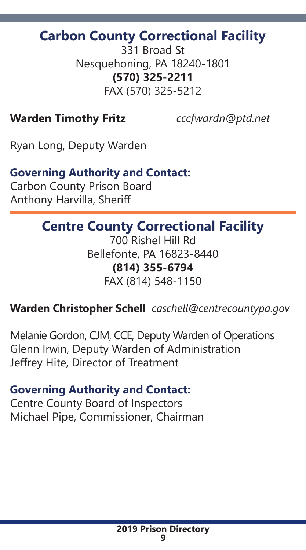# **Carbon County Correctional Facility**

331 Broad St Nesquehoning, PA 18240-1801 **(570) 325-2211** FAX (570) 325-5212

#### **Warden Timothy Fritz** *cccfwardn@ptd.net*

Ryan Long, Deputy Warden

#### **Governing Authority and Contact:**

Carbon County Prison Board Anthony Harvilla, Sheriff

# **Centre County Correctional Facility**

700 Rishel Hill Rd Bellefonte, PA 16823-8440 **(814) 355-6794** FAX (814) 548-1150

#### **Warden Christopher Schell** *caschell@centrecountypa.gov*

Melanie Gordon, CJM, CCE, Deputy Warden of Operations Glenn Irwin, Deputy Warden of Administration Jeffrey Hite, Director of Treatment

#### **Governing Authority and Contact:**

Centre County Board of Inspectors Michael Pipe, Commissioner, Chairman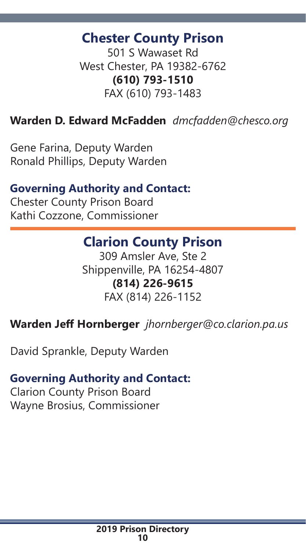# **Chester County Prison**

501 S Wawaset Rd West Chester, PA 19382-6762 **(610) 793-1510** FAX (610) 793-1483

#### **Warden D. Edward McFadden** *dmcfadden@chesco.org*

Gene Farina, Deputy Warden Ronald Phillips, Deputy Warden

## **Governing Authority and Contact:**

Chester County Prison Board Kathi Cozzone, Commissioner

# **Clarion County Prison**

309 Amsler Ave, Ste 2 Shippenville, PA 16254-4807 **(814) 226-9615** FAX (814) 226-1152

## **Warden Jeff Hornberger** *jhornberger@co.clarion.pa.us*

David Sprankle, Deputy Warden

#### **Governing Authority and Contact:**

Clarion County Prison Board Wayne Brosius, Commissioner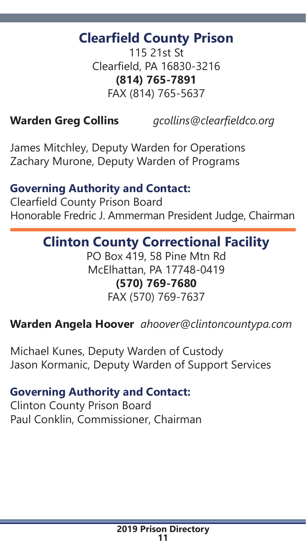# **Clearfield County Prison**

115 21st St Clearfield, PA 16830-3216 **(814) 765-7891** FAX (814) 765-5637

**Warden Greg Collins** *gcollins@clearfieldco.org*

James Mitchley, Deputy Warden for Operations Zachary Murone, Deputy Warden of Programs

#### **Governing Authority and Contact:**

Clearfield County Prison Board Honorable Fredric J. Ammerman President Judge, Chairman

# **Clinton County Correctional Facility**

PO Box 419, 58 Pine Mtn Rd McElhattan, PA 17748-0419 **(570) 769-7680** FAX (570) 769-7637

## **Warden Angela Hoover** *ahoover@clintoncountypa.com*

Michael Kunes, Deputy Warden of Custody Jason Kormanic, Deputy Warden of Support Services

#### **Governing Authority and Contact:**

Clinton County Prison Board Paul Conklin, Commissioner, Chairman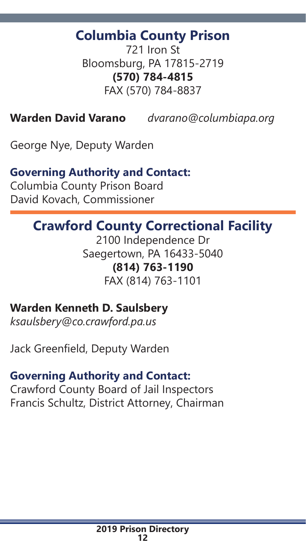# **Columbia County Prison**

721 Iron St Bloomsburg, PA 17815-2719 **(570) 784-4815** FAX (570) 784-8837

**Warden David Varano** *dvarano@columbiapa.org*

George Nye, Deputy Warden

#### **Governing Authority and Contact:**

Columbia County Prison Board David Kovach, Commissioner

# **Crawford County Correctional Facility**

2100 Independence Dr Saegertown, PA 16433-5040 **(814) 763-1190** FAX (814) 763-1101

# **Warden Kenneth D. Saulsbery**

*ksaulsbery@co.crawford.pa.us* 

Jack Greenfield, Deputy Warden

#### **Governing Authority and Contact:**

Crawford County Board of Jail Inspectors Francis Schultz, District Attorney, Chairman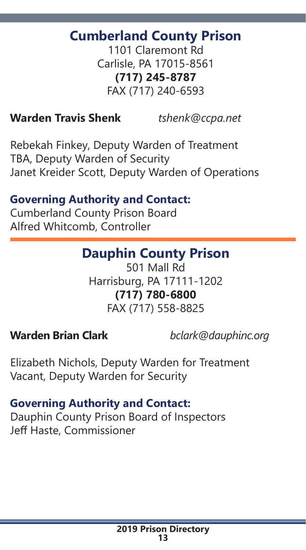# **Cumberland County Prison**

1101 Claremont Rd Carlisle, PA 17015-8561 **(717) 245-8787** FAX (717) 240-6593

#### **Warden Travis Shenk** *tshenk@ccpa.net*

Rebekah Finkey, Deputy Warden of Treatment TBA, Deputy Warden of Security Janet Kreider Scott, Deputy Warden of Operations

# **Governing Authority and Contact:**

Cumberland County Prison Board Alfred Whitcomb, Controller

# **Dauphin County Prison**

501 Mall Rd Harrisburg, PA 17111-1202 **(717) 780-6800** FAX (717) 558-8825

**Warden Brian Clark** *bclark@dauphinc.org*

Elizabeth Nichols, Deputy Warden for Treatment Vacant, Deputy Warden for Security

## **Governing Authority and Contact:**

Dauphin County Prison Board of Inspectors Jeff Haste, Commissioner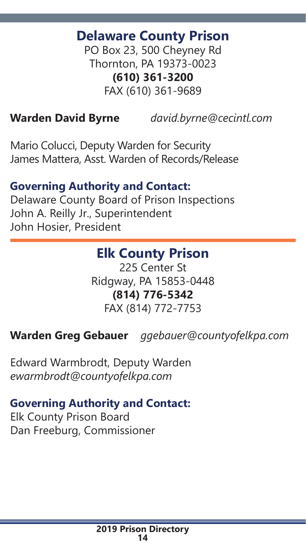# **Delaware County Prison**

PO Box 23, 500 Cheyney Rd Thornton, PA 19373-0023 **(610) 361-3200** FAX (610) 361-9689

**Warden David Byrne** *david.byrne@cecintl.com* 

Mario Colucci, Deputy Warden for Security James Mattera, Asst. Warden of Records/Release

#### **Governing Authority and Contact:**

Delaware County Board of Prison Inspections John A. Reilly Jr., Superintendent John Hosier, President

# **Elk County Prison**

225 Center St Ridgway, PA 15853-0448 **(814) 776-5342** FAX (814) 772-7753

# **Warden Greg Gebauer** *ggebauer@countyofelkpa.com*

Edward Warmbrodt, Deputy Warden *ewarmbrodt@countyofelkpa.com*

## **Governing Authority and Contact:**

Elk County Prison Board Dan Freeburg, Commissioner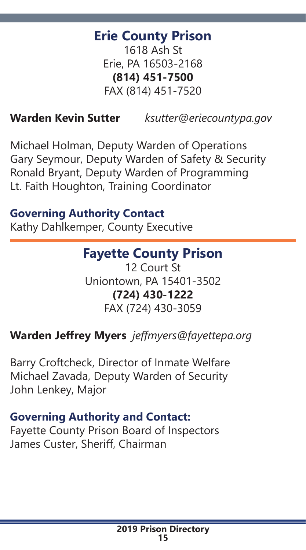# **Erie County Prison**

1618 Ash St Erie, PA 16503-2168 **(814) 451-7500** FAX (814) 451-7520

# **Warden Kevin Sutter** *ksutter@eriecountypa.gov*

Michael Holman, Deputy Warden of Operations Gary Seymour, Deputy Warden of Safety & Security Ronald Bryant, Deputy Warden of Programming Lt. Faith Houghton, Training Coordinator

#### **Governing Authority Contact**

Kathy Dahlkemper, County Executive

# **Fayette County Prison**

12 Court St Uniontown, PA 15401-3502 **(724) 430-1222** FAX (724) 430-3059

## **Warden Jeffrey Myers** *jeffmyers@fayettepa.org*

Barry Croftcheck, Director of Inmate Welfare Michael Zavada, Deputy Warden of Security John Lenkey, Major

#### **Governing Authority and Contact:**

Fayette County Prison Board of Inspectors James Custer, Sheriff, Chairman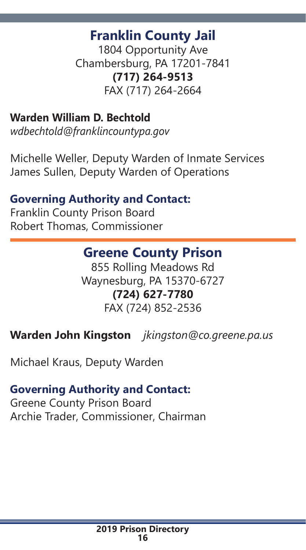# **Franklin County Jail**

1804 Opportunity Ave Chambersburg, PA 17201-7841 **(717) 264-9513** FAX (717) 264-2664

# **Warden William D. Bechtold**

*wdbechtold@franklincountypa.gov*

Michelle Weller, Deputy Warden of Inmate Services James Sullen, Deputy Warden of Operations

#### **Governing Authority and Contact:**

Franklin County Prison Board Robert Thomas, Commissioner

# **Greene County Prison**

855 Rolling Meadows Rd Waynesburg, PA 15370-6727 **(724) 627-7780** FAX (724) 852-2536

**Warden John Kingston** *jkingston@co.greene.pa.us*

Michael Kraus, Deputy Warden

#### **Governing Authority and Contact:**

Greene County Prison Board Archie Trader, Commissioner, Chairman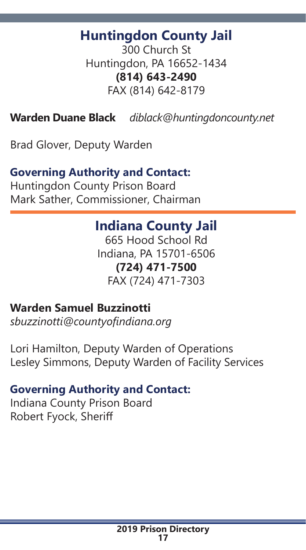# **Huntingdon County Jail**

300 Church St Huntingdon, PA 16652-1434 **(814) 643-2490** FAX (814) 642-8179

**Warden Duane Black** *diblack@huntingdoncounty.net*

Brad Glover, Deputy Warden

#### **Governing Authority and Contact:**

Huntingdon County Prison Board Mark Sather, Commissioner, Chairman

# **Indiana County Jail**

665 Hood School Rd Indiana, PA 15701-6506 **(724) 471-7500** FAX (724) 471-7303

#### **Warden Samuel Buzzinotti**

*sbuzzinotti@countyofindiana.org* 

Lori Hamilton, Deputy Warden of Operations Lesley Simmons, Deputy Warden of Facility Services

#### **Governing Authority and Contact:**

Indiana County Prison Board Robert Fyock, Sheriff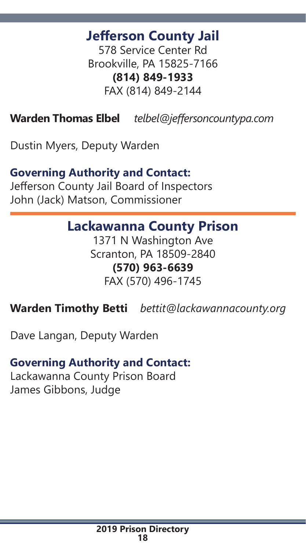# **Jefferson County Jail**

578 Service Center Rd Brookville, PA 15825-7166 **(814) 849-1933** FAX (814) 849-2144

**Warden Thomas Elbel** *telbel@jeffersoncountypa.com*

Dustin Myers, Deputy Warden

#### **Governing Authority and Contact:**

Jefferson County Jail Board of Inspectors John (Jack) Matson, Commissioner

# **Lackawanna County Prison**

1371 N Washington Ave Scranton, PA 18509-2840 **(570) 963-6639** FAX (570) 496-1745

**Warden Timothy Betti** *bettit@lackawannacounty.org*

Dave Langan, Deputy Warden

## **Governing Authority and Contact:**

Lackawanna County Prison Board James Gibbons, Judge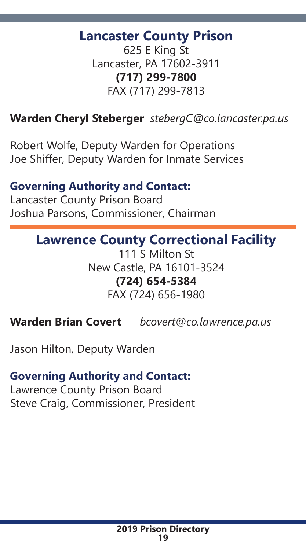# **Lancaster County Prison**

625 E King St Lancaster, PA 17602-3911 **(717) 299-7800** FAX (717) 299-7813

# **Warden Cheryl Steberger** *stebergC@co.lancaster.pa.us*

Robert Wolfe, Deputy Warden for Operations Joe Shiffer, Deputy Warden for Inmate Services

#### **Governing Authority and Contact:**

Lancaster County Prison Board Joshua Parsons, Commissioner, Chairman

# **Lawrence County Correctional Facility**

111 S Milton St New Castle, PA 16101-3524 **(724) 654-5384** FAX (724) 656-1980

**Warden Brian Covert** *bcovert@co.lawrence.pa.us*

Jason Hilton, Deputy Warden

#### **Governing Authority and Contact:**

Lawrence County Prison Board Steve Craig, Commissioner, President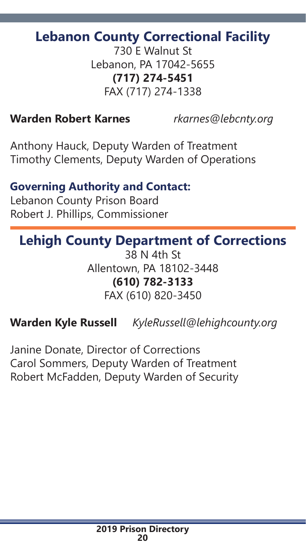# **Lebanon County Correctional Facility**

730 E Walnut St Lebanon, PA 17042-5655 **(717) 274-5451** FAX (717) 274-1338

#### **Warden Robert Karnes** *rkarnes@lebcnty.org*

Anthony Hauck, Deputy Warden of Treatment Timothy Clements, Deputy Warden of Operations

#### **Governing Authority and Contact:**

Lebanon County Prison Board Robert J. Phillips, Commissioner

# **Lehigh County Department of Corrections**

38 N 4th St Allentown, PA 18102-3448 **(610) 782-3133** FAX (610) 820-3450

# **Warden Kyle Russell** *KyleRussell@lehighcounty.org*

Janine Donate, Director of Corrections Carol Sommers, Deputy Warden of Treatment Robert McFadden, Deputy Warden of Security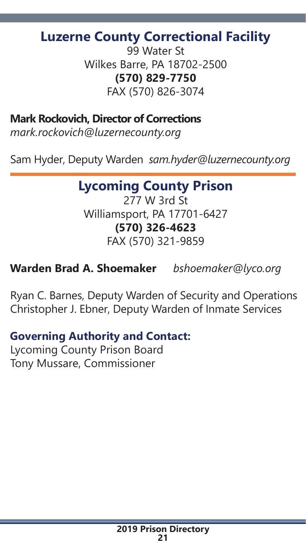# **Luzerne County Correctional Facility**

99 Water St Wilkes Barre, PA 18702-2500 **(570) 829-7750** FAX (570) 826-3074

**Mark Rockovich, Director of Corrections**

*mark.rockovich@luzernecounty.org*

Sam Hyder, Deputy Warden *sam.hyder@luzernecounty.org* 

# **Lycoming County Prison**

277 W 3rd St Williamsport, PA 17701-6427 **(570) 326-4623** FAX (570) 321-9859

**Warden Brad A. Shoemaker** *bshoemaker@lyco.org*

Ryan C. Barnes, Deputy Warden of Security and Operations Christopher J. Ebner, Deputy Warden of Inmate Services

# **Governing Authority and Contact:**

Lycoming County Prison Board Tony Mussare, Commissioner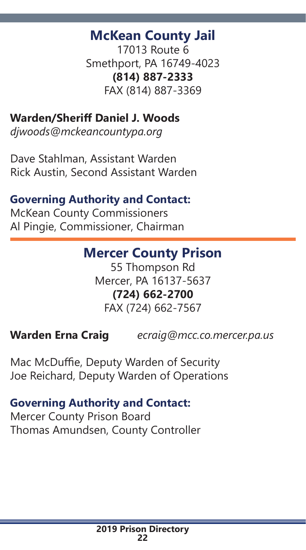# **McKean County Jail**

17013 Route 6 Smethport, PA 16749-4023 **(814) 887-2333** FAX (814) 887-3369

#### **Warden/Sheriff Daniel J. Woods**

*djwoods@mckeancountypa.org*

Dave Stahlman, Assistant Warden Rick Austin, Second Assistant Warden

## **Governing Authority and Contact:**

McKean County Commissioners Al Pingie, Commissioner, Chairman

# **Mercer County Prison**

55 Thompson Rd Mercer, PA 16137-5637 **(724) 662-2700** FAX (724) 662-7567

**Warden Erna Craig** *ecraig@mcc.co.mercer.pa.us*

Mac McDuffie, Deputy Warden of Security Joe Reichard, Deputy Warden of Operations

#### **Governing Authority and Contact:**

Mercer County Prison Board Thomas Amundsen, County Controller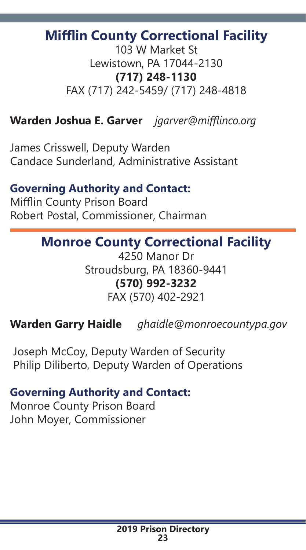# **Mifflin County Correctional Facility**

103 W Market St Lewistown, PA 17044-2130 **(717) 248-1130** FAX (717) 242-5459/ (717) 248-4818

#### **Warden Joshua E. Garver** *jgarver@mifflinco.org*

James Crisswell, Deputy Warden Candace Sunderland, Administrative Assistant

#### **Governing Authority and Contact:**

Mifflin County Prison Board Robert Postal, Commissioner, Chairman

# **Monroe County Correctional Facility**

4250 Manor Dr Stroudsburg, PA 18360-9441 **(570) 992-3232** FAX (570) 402-2921

**Warden Garry Haidle** *ghaidle@monroecountypa.gov*

 Joseph McCoy, Deputy Warden of Security Philip Diliberto, Deputy Warden of Operations

#### **Governing Authority and Contact:**

Monroe County Prison Board John Moyer, Commissioner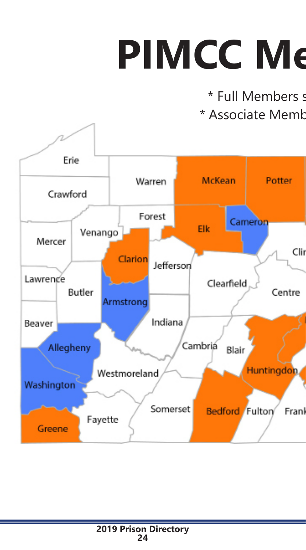# **PIMCC Me**

\* Full Members s \* Associate Memb

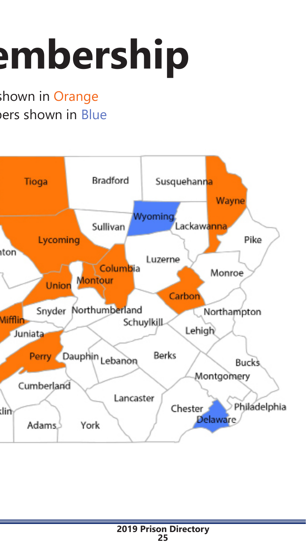# **PIMPC embership**

hown in Orange ers shown in Blue

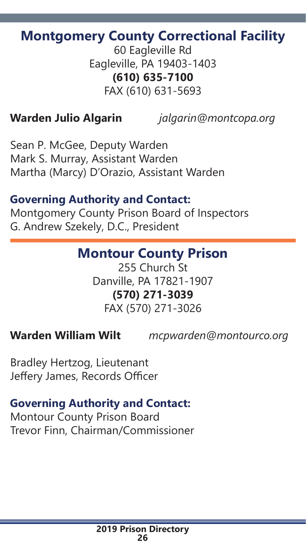# **Montgomery County Correctional Facility**

60 Eagleville Rd Eagleville, PA 19403-1403 **(610) 635-7100** FAX (610) 631-5693

**Warden Julio Algarin** *jalgarin@montcopa.org*

Sean P. McGee, Deputy Warden Mark S. Murray, Assistant Warden Martha (Marcy) D'Orazio, Assistant Warden

## **Governing Authority and Contact:**

Montgomery County Prison Board of Inspectors G. Andrew Szekely, D.C., President

# **Montour County Prison**

255 Church St Danville, PA 17821-1907 **(570) 271-3039** FAX (570) 271-3026

**Warden William Wilt** *mcpwarden@montourco.org*

Bradley Hertzog, Lieutenant Jeffery James, Records Officer

# **Governing Authority and Contact:**

Montour County Prison Board Trevor Finn, Chairman/Commissioner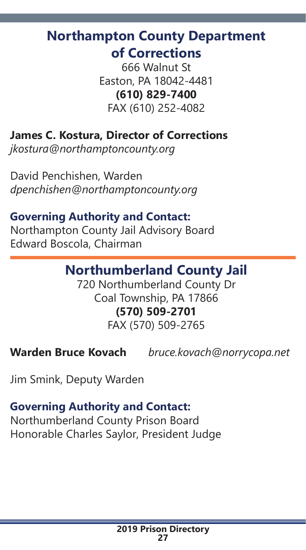# **Northampton County Department of Corrections**

666 Walnut St Easton, PA 18042-4481 **(610) 829-7400** FAX (610) 252-4082

# **James C. Kostura, Director of Corrections**

*jkostura@northamptoncounty.org*

David Penchishen, Warden *dpenchishen@northamptoncounty.org*

# **Governing Authority and Contact:**

Northampton County Jail Advisory Board Edward Boscola, Chairman

# **Northumberland County Jail**

720 Northumberland County Dr Coal Township, PA 17866 **(570) 509-2701** FAX (570) 509-2765

**Warden Bruce Kovach** *bruce.kovach@norrycopa.net*

Jim Smink, Deputy Warden

# **Governing Authority and Contact:**

Northumberland County Prison Board Honorable Charles Saylor, President Judge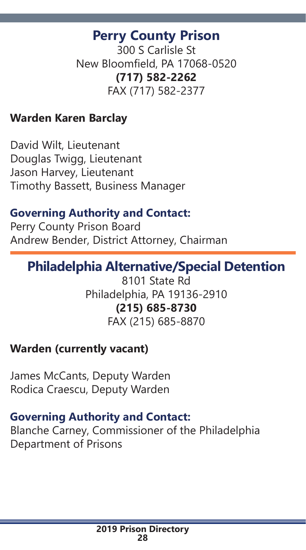# **Perry County Prison**

300 S Carlisle St New Bloomfield, PA 17068-0520 **(717) 582-2262** FAX (717) 582-2377

#### **Warden Karen Barclay**

David Wilt, Lieutenant Douglas Twigg, Lieutenant Jason Harvey, Lieutenant Timothy Bassett, Business Manager

# **Governing Authority and Contact:**

Perry County Prison Board Andrew Bender, District Attorney, Chairman

# **Philadelphia Alternative/Special Detention**

8101 State Rd Philadelphia, PA 19136-2910 **(215) 685-8730** FAX (215) 685-8870

## **Warden (currently vacant)**

James McCants, Deputy Warden Rodica Craescu, Deputy Warden

## **Governing Authority and Contact:**

Blanche Carney, Commissioner of the Philadelphia Department of Prisons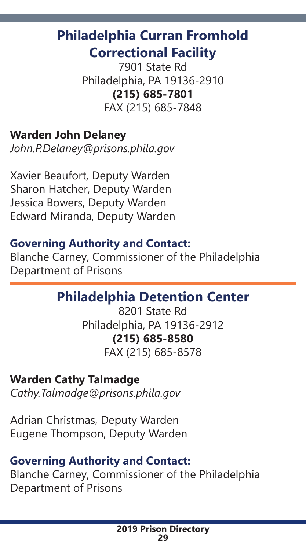# **Philadelphia Curran Fromhold Correctional Facility**

7901 State Rd Philadelphia, PA 19136-2910 **(215) 685-7801** FAX (215) 685-7848

# **Warden John Delaney**

*John.P.Delaney@prisons.phila.gov*

Xavier Beaufort, Deputy Warden Sharon Hatcher, Deputy Warden Jessica Bowers, Deputy Warden Edward Miranda, Deputy Warden

## **Governing Authority and Contact:**

Blanche Carney, Commissioner of the Philadelphia Department of Prisons

# **Philadelphia Detention Center**

8201 State Rd Philadelphia, PA 19136-2912 **(215) 685-8580** FAX (215) 685-8578

#### **Warden Cathy Talmadge**

*Cathy.Talmadge@prisons.phila.gov*

Adrian Christmas, Deputy Warden Eugene Thompson, Deputy Warden

#### **Governing Authority and Contact:**

Blanche Carney, Commissioner of the Philadelphia Department of Prisons

> **2019 Prison Directory 29**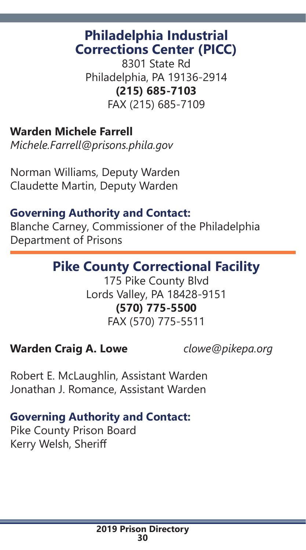# **Philadelphia Industrial Corrections Center (PICC)**

8301 State Rd Philadelphia, PA 19136-2914 **(215) 685-7103** FAX (215) 685-7109

#### **Warden Michele Farrell**

*Michele.Farrell@prisons.phila.gov* 

Norman Williams, Deputy Warden Claudette Martin, Deputy Warden

## **Governing Authority and Contact:**

Blanche Carney, Commissioner of the Philadelphia Department of Prisons

# **Pike County Correctional Facility**

175 Pike County Blvd Lords Valley, PA 18428-9151 **(570) 775-5500** FAX (570) 775-5511

## **Warden Craig A. Lowe** *clowe@pikepa.org*

Robert E. McLaughlin, Assistant Warden Jonathan J. Romance, Assistant Warden

## **Governing Authority and Contact:**

Pike County Prison Board Kerry Welsh, Sheriff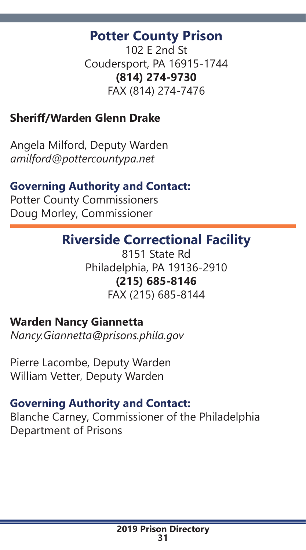# **Potter County Prison**

102 E 2nd St Coudersport, PA 16915-1744 **(814) 274-9730** FAX (814) 274-7476

# **Sheriff/Warden Glenn Drake**

Angela Milford, Deputy Warden *amilford@pottercountypa.net*

#### **Governing Authority and Contact:**

Potter County Commissioners Doug Morley, Commissioner

# **Riverside Correctional Facility**

8151 State Rd Philadelphia, PA 19136-2910 **(215) 685-8146** FAX (215) 685-8144

#### **Warden Nancy Giannetta**

*Nancy.Giannetta@prisons.phila.gov*

Pierre Lacombe, Deputy Warden William Vetter, Deputy Warden

#### **Governing Authority and Contact:**

Blanche Carney, Commissioner of the Philadelphia Department of Prisons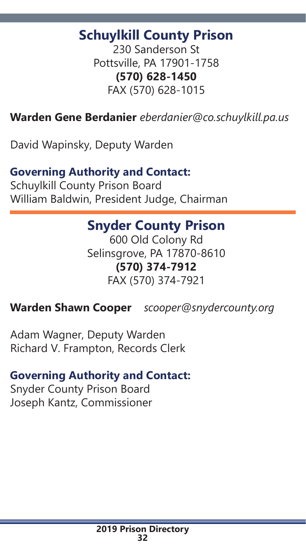# **Schuylkill County Prison**

230 Sanderson St Pottsville, PA 17901-1758 **(570) 628-1450** FAX (570) 628-1015

# **Warden Gene Berdanier** *eberdanier@co.schuylkill.pa.us*

David Wapinsky, Deputy Warden

## **Governing Authority and Contact:**

Schuylkill County Prison Board William Baldwin, President Judge, Chairman

# **Snyder County Prison**

600 Old Colony Rd Selinsgrove, PA 17870-8610 **(570) 374-7912** FAX (570) 374-7921

## **Warden Shawn Cooper** *scooper@snydercounty.org*

Adam Wagner, Deputy Warden Richard V. Frampton, Records Clerk

## **Governing Authority and Contact:**

Snyder County Prison Board Joseph Kantz, Commissioner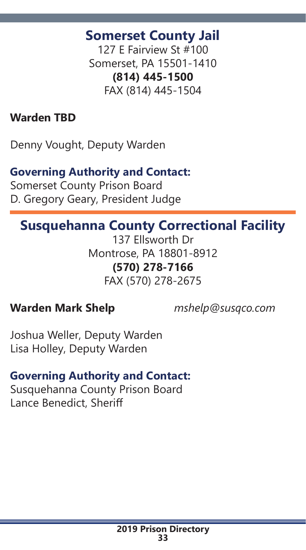# **Somerset County Jail**

127 E Fairview St #100 Somerset, PA 15501-1410 **(814) 445-1500** FAX (814) 445-1504

# **Warden TBD**

Denny Vought, Deputy Warden

#### **Governing Authority and Contact:**

Somerset County Prison Board D. Gregory Geary, President Judge

# **Susquehanna County Correctional Facility**

137 Ellsworth Dr Montrose, PA 18801-8912 **(570) 278-7166** FAX (570) 278-2675

## **Warden Mark Shelp** *mshelp@susqco.com*

Joshua Weller, Deputy Warden Lisa Holley, Deputy Warden

## **Governing Authority and Contact:**

Susquehanna County Prison Board Lance Benedict, Sheriff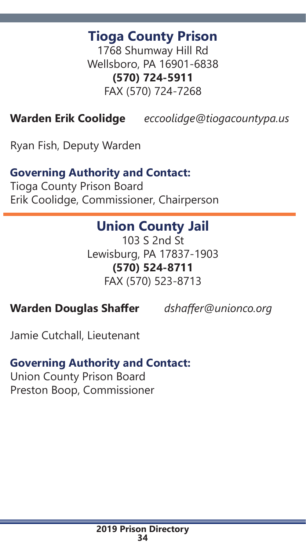# **Tioga County Prison**

1768 Shumway Hill Rd Wellsboro, PA 16901-6838 **(570) 724-5911** FAX (570) 724-7268

**Warden Erik Coolidge** *eccoolidge@tiogacountypa.us*

Ryan Fish, Deputy Warden

#### **Governing Authority and Contact:**

Tioga County Prison Board Erik Coolidge, Commissioner, Chairperson

# **Union County Jail**

103 S 2nd St Lewisburg, PA 17837-1903 **(570) 524-8711** FAX (570) 523-8713

#### **Warden Douglas Shaffer** *dshaffer@unionco.org*

Jamie Cutchall, Lieutenant

#### **Governing Authority and Contact:**

Union County Prison Board Preston Boop, Commissioner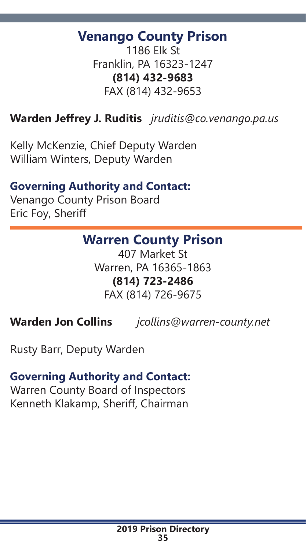# **Venango County Prison**

1186 Elk St Franklin, PA 16323-1247 **(814) 432-9683** FAX (814) 432-9653

### **Warden Jeffrey J. Ruditis** *jruditis@co.venango.pa.us*

Kelly McKenzie, Chief Deputy Warden William Winters, Deputy Warden

#### **Governing Authority and Contact:**

Venango County Prison Board Eric Foy, Sheriff

# **Warren County Prison**

407 Market St Warren, PA 16365-1863 **(814) 723-2486** FAX (814) 726-9675

**Warden Jon Collins** *jcollins@warren-county.net*

Rusty Barr, Deputy Warden

#### **Governing Authority and Contact:**

Warren County Board of Inspectors Kenneth Klakamp, Sheriff, Chairman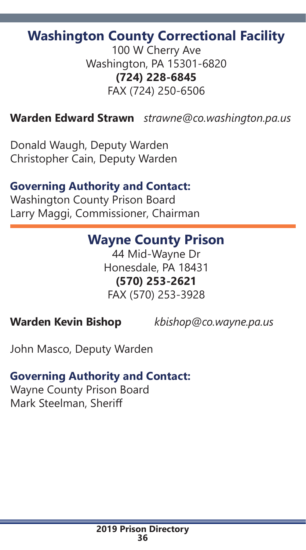# **Washington County Correctional Facility**

100 W Cherry Ave Washington, PA 15301-6820 **(724) 228-6845** FAX (724) 250-6506

#### **Warden Edward Strawn** *strawne@co.washington.pa.us*

Donald Waugh, Deputy Warden Christopher Cain, Deputy Warden

#### **Governing Authority and Contact:**

Washington County Prison Board Larry Maggi, Commissioner, Chairman

#### **Wayne County Prison**

44 Mid-Wayne Dr Honesdale, PA 18431 **(570) 253-2621** FAX (570) 253-3928

**Warden Kevin Bishop** *kbishop@co.wayne.pa.us*

John Masco, Deputy Warden

#### **Governing Authority and Contact:**

Wayne County Prison Board Mark Steelman, Sheriff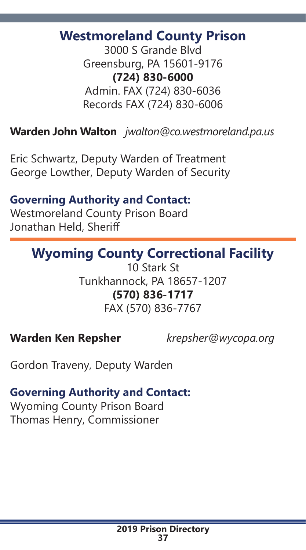# **Westmoreland County Prison**

3000 S Grande Blvd Greensburg, PA 15601-9176 **(724) 830-6000** Admin. FAX (724) 830-6036 Records FAX (724) 830-6006

### **Warden John Walton** *jwalton@co.westmoreland.pa.us*

Eric Schwartz, Deputy Warden of Treatment George Lowther, Deputy Warden of Security

# **Governing Authority and Contact:**

Westmoreland County Prison Board Jonathan Held, Sheriff

# **Wyoming County Correctional Facility**

10 Stark St Tunkhannock, PA 18657-1207 **(570) 836-1717** FAX (570) 836-7767

#### **Warden Ken Repsher** *krepsher@wycopa.org*

Gordon Traveny, Deputy Warden

#### **Governing Authority and Contact:**

Wyoming County Prison Board Thomas Henry, Commissioner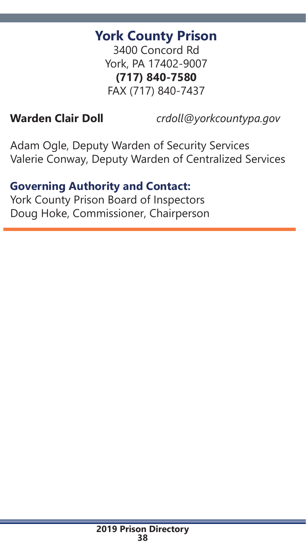# **York County Prison**

3400 Concord Rd York, PA 17402-9007 **(717) 840-7580** FAX (717) 840-7437

**Warden Clair Doll** *crdoll@yorkcountypa.gov*

Adam Ogle, Deputy Warden of Security Services Valerie Conway, Deputy Warden of Centralized Services

#### **Governing Authority and Contact:**

York County Prison Board of Inspectors Doug Hoke, Commissioner, Chairperson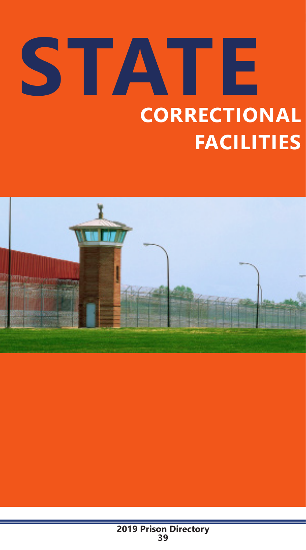# **STATE CORRECTIONAL FACILITIES**

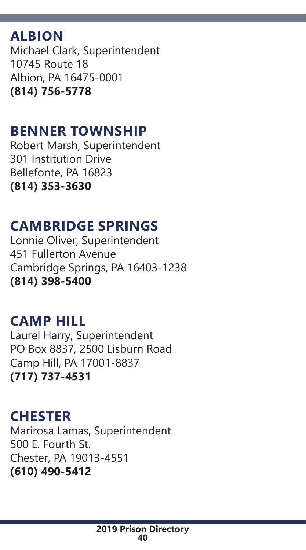# **ALBION**

Michael Clark, Superintendent 10745 Route 18 Albion, PA 16475-0001 **(814) 756-5778**

# **BENNER TOWNSHIP**

Robert Marsh, Superintendent 301 Institution Drive Bellefonte, PA 16823 **(814) 353-3630**

# **CAMBRIDGE SPRINGS**

Lonnie Oliver, Superintendent 451 Fullerton Avenue Cambridge Springs, PA 16403-1238 **(814) 398-5400**

# **CAMP HILL**

Laurel Harry, Superintendent PO Box 8837, 2500 Lisburn Road Camp Hill, PA 17001-8837 **(717) 737-4531**

# **CHESTER**

Marirosa Lamas, Superintendent 500 E. Fourth St. Chester, PA 19013-4551 **(610) 490-5412**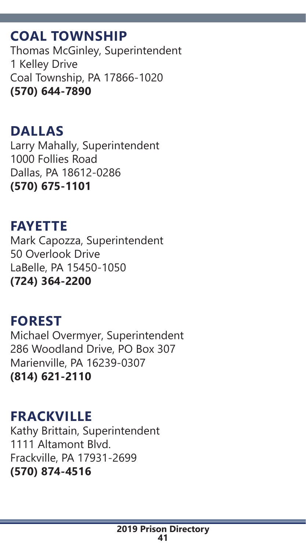# **COAL TOWNSHIP**

Thomas McGinley, Superintendent 1 Kelley Drive Coal Township, PA 17866-1020 **(570) 644-7890**

#### **DALLAS** Larry Mahally, Superintendent 1000 Follies Road

Dallas, PA 18612-0286 **(570) 675-1101**

# **FAYETTE**

Mark Capozza, Superintendent 50 Overlook Drive LaBelle, PA 15450-1050 **(724) 364-2200**

#### **FOREST** Michael Overmyer, Superintendent 286 Woodland Drive, PO Box 307 Marienville, PA 16239-0307 **(814) 621-2110**

# **FRACKVILLE**

Kathy Brittain, Superintendent 1111 Altamont Blvd. Frackville, PA 17931-2699 **(570) 874-4516**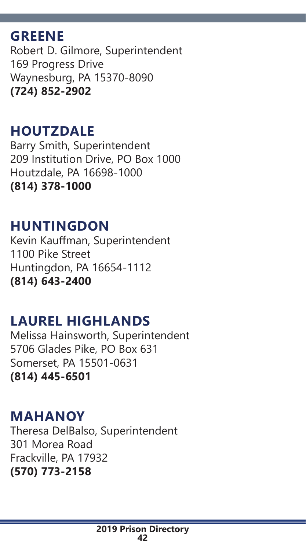# **GREENE**

Robert D. Gilmore, Superintendent 169 Progress Drive Waynesburg, PA 15370-8090 **(724) 852-2902**

# **HOUTZDALE**

Barry Smith, Superintendent 209 Institution Drive, PO Box 1000 Houtzdale, PA 16698-1000 **(814) 378-1000**

# **HUNTINGDON**

Kevin Kauffman, Superintendent 1100 Pike Street Huntingdon, PA 16654-1112 **(814) 643-2400**

# **LAUREL HIGHLANDS**

Melissa Hainsworth, Superintendent 5706 Glades Pike, PO Box 631 Somerset, PA 15501-0631 **(814) 445-6501**

# **MAHANOY**

Theresa DelBalso, Superintendent 301 Morea Road Frackville, PA 17932 **(570) 773-2158**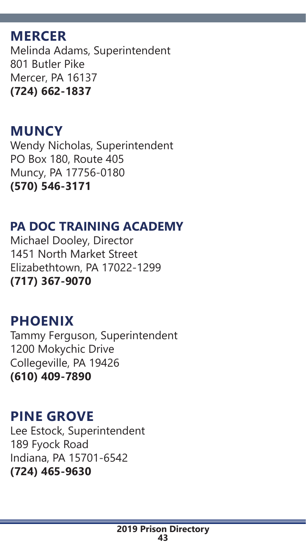# **MERCER**

Melinda Adams, Superintendent 801 Butler Pike Mercer, PA 16137 **(724) 662-1837**

# **MUNCY**

Wendy Nicholas, Superintendent PO Box 180, Route 405 Muncy, PA 17756-0180 **(570) 546-3171**

# **PA DOC TRAINING ACADEMY**

Michael Dooley, Director 1451 North Market Street Elizabethtown, PA 17022-1299 **(717) 367-9070**

# **PHOENIX**

Tammy Ferguson, Superintendent 1200 Mokychic Drive Collegeville, PA 19426 **(610) 409-7890**

# **PINE GROVE**

Lee Estock, Superintendent 189 Fyock Road Indiana, PA 15701-6542 **(724) 465-9630**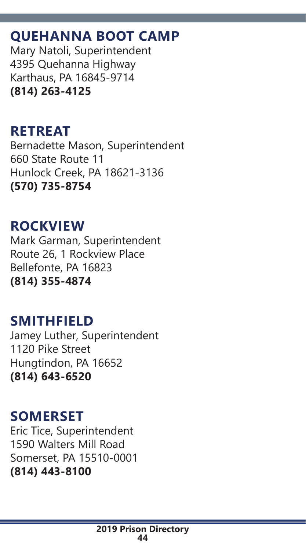# **QUEHANNA BOOT CAMP**

Mary Natoli, Superintendent 4395 Quehanna Highway Karthaus, PA 16845-9714 **(814) 263-4125**

# **RETREAT**

Bernadette Mason, Superintendent 660 State Route 11 Hunlock Creek, PA 18621-3136 **(570) 735-8754**

# **ROCKVIEW**

Mark Garman, Superintendent Route 26, 1 Rockview Place Bellefonte, PA 16823 **(814) 355-4874**

# **SMITHFIELD**

Jamey Luther, Superintendent 1120 Pike Street Hungtindon, PA 16652 **(814) 643-6520**

# **SOMERSET**

Eric Tice, Superintendent 1590 Walters Mill Road Somerset, PA 15510-0001 **(814) 443-8100**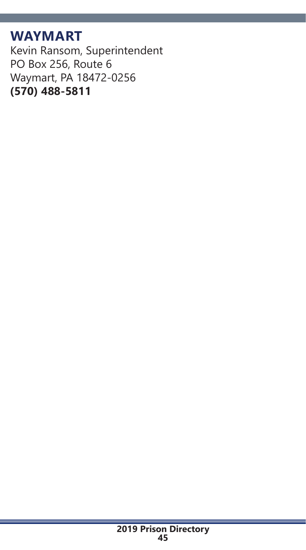# **WAYMART**

Kevin Ransom, Superintendent PO Box 256, Route 6 Waymart, PA 18472-0256 **(570) 488-5811**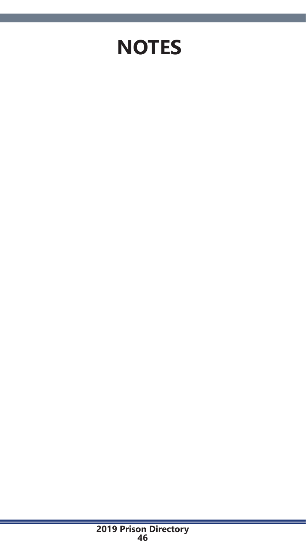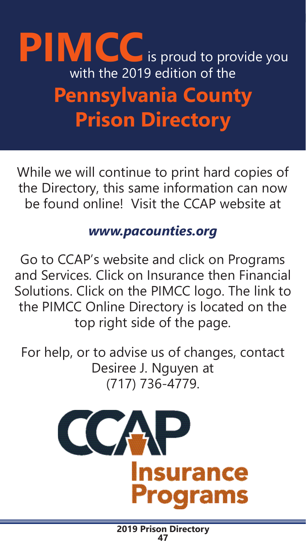# **PIMCC** is proud to provide you with the 2019 edition of the **Pennsylvania County Prison Directory**

While we will continue to print hard copies of the Directory, this same information can now be found online! Visit the CCAP website at

# *www.pacounties.org*

Go to CCAP's website and click on Programs and Services. Click on Insurance then Financial Solutions. Click on the PIMCC logo. The link to the PIMCC Online Directory is located on the top right side of the page.

For help, or to advise us of changes, contact Desiree J. Nguyen at (717) 736-4779.